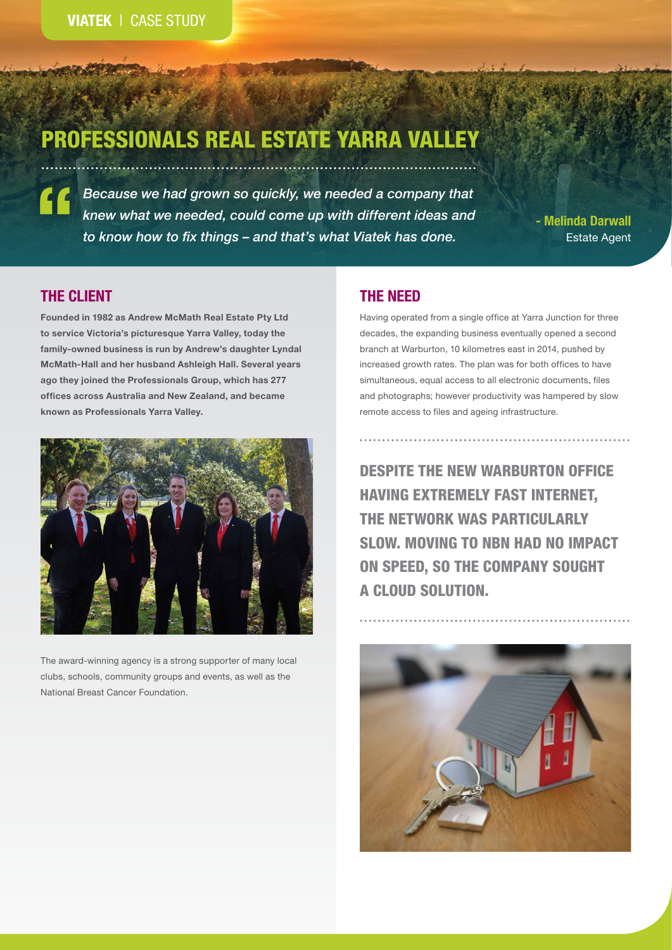# PROFESSIONALS REAL ESTATE YARRA VALLEY

*Because we had grown so quickly, we needed a company that knew what we needed, could come up with different ideas and*  " *to know how to fix things – and that's what Viatek has done.*

**- Melinda Darwall** Estate Agent

# **THE CLIENT**

**Founded in 1982 as Andrew McMath Real Estate Pty Ltd to service Victoria's picturesque Yarra Valley, today the family-owned business is run by Andrew's daughter Lyndal McMath-Hall and her husband Ashleigh Hall. Several years ago they joined the Professionals Group, which has 277 offices across Australia and New Zealand, and became known as Professionals Yarra Valley.**



The award-winning agency is a strong supporter of many local clubs, schools, community groups and events, as well as the National Breast Cancer Foundation.

## **THE NEED**

Having operated from a single office at Yarra Junction for three decades, the expanding business eventually opened a second branch at Warburton, 10 kilometres east in 2014, pushed by increased growth rates. The plan was for both offices to have simultaneous, equal access to all electronic documents, files and photographs; however productivity was hampered by slow remote access to files and ageing infrastructure.

DESPITE THE NEW WARBURTON OFFICE HAVING EXTREMELY FAST INTERNET, THE NETWORK WAS PARTICULARLY SLOW. MOVING TO NBN HAD NO IMPACT ON SPEED, SO THE COMPANY SOUGHT A CLOUD SOLUTION.